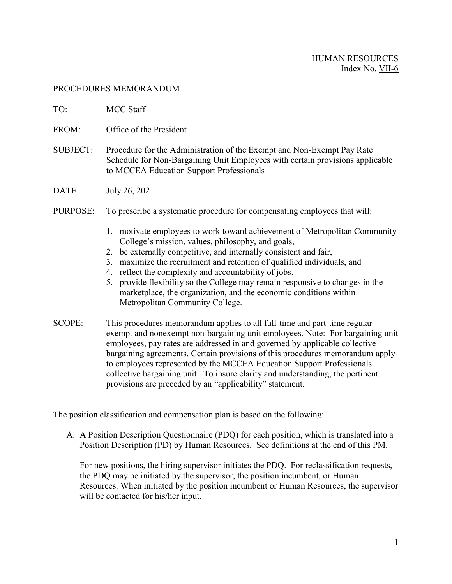### HUMAN RESOURCES Index No. VII-6

### PROCEDURES MEMORANDUM

- TO: MCC Staff
- FROM: Office of the President
- SUBJECT: Procedure for the Administration of the Exempt and Non-Exempt Pay Rate Schedule for Non-Bargaining Unit Employees with certain provisions applicable to MCCEA Education Support Professionals
- DATE: July 26, 2021
- PURPOSE: To prescribe a systematic procedure for compensating employees that will:
	- 1. motivate employees to work toward achievement of Metropolitan Community College's mission, values, philosophy, and goals,
	- 2. be externally competitive, and internally consistent and fair,
	- 3. maximize the recruitment and retention of qualified individuals, and
	- 4. reflect the complexity and accountability of jobs.
	- 5. provide flexibility so the College may remain responsive to changes in the marketplace, the organization, and the economic conditions within Metropolitan Community College.
- SCOPE: This procedures memorandum applies to all full-time and part-time regular exempt and nonexempt non-bargaining unit employees. Note: For bargaining unit employees, pay rates are addressed in and governed by applicable collective bargaining agreements. Certain provisions of this procedures memorandum apply to employees represented by the MCCEA Education Support Professionals collective bargaining unit. To insure clarity and understanding, the pertinent provisions are preceded by an "applicability" statement.

The position classification and compensation plan is based on the following:

A. A Position Description Questionnaire (PDQ) for each position, which is translated into a Position Description (PD) by Human Resources. See definitions at the end of this PM.

For new positions, the hiring supervisor initiates the PDQ. For reclassification requests, the PDQ may be initiated by the supervisor, the position incumbent, or Human Resources. When initiated by the position incumbent or Human Resources, the supervisor will be contacted for his/her input.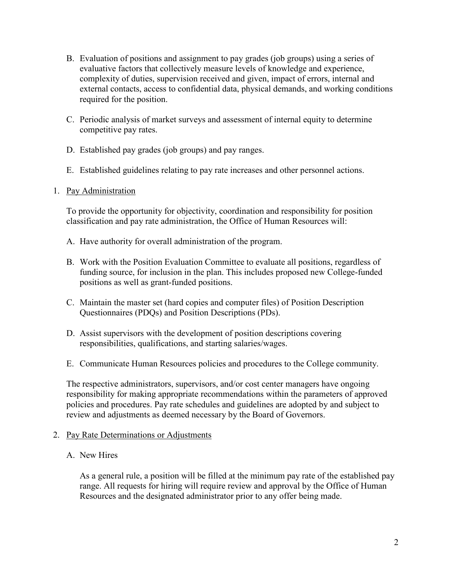- B. Evaluation of positions and assignment to pay grades (job groups) using a series of evaluative factors that collectively measure levels of knowledge and experience, complexity of duties, supervision received and given, impact of errors, internal and external contacts, access to confidential data, physical demands, and working conditions required for the position.
- C. Periodic analysis of market surveys and assessment of internal equity to determine competitive pay rates.
- D. Established pay grades (job groups) and pay ranges.
- E. Established guidelines relating to pay rate increases and other personnel actions.
- 1. Pay Administration

To provide the opportunity for objectivity, coordination and responsibility for position classification and pay rate administration, the Office of Human Resources will:

- A. Have authority for overall administration of the program.
- B. Work with the Position Evaluation Committee to evaluate all positions, regardless of funding source, for inclusion in the plan. This includes proposed new College-funded positions as well as grant-funded positions.
- C. Maintain the master set (hard copies and computer files) of Position Description Questionnaires (PDQs) and Position Descriptions (PDs).
- D. Assist supervisors with the development of position descriptions covering responsibilities, qualifications, and starting salaries/wages.
- E. Communicate Human Resources policies and procedures to the College community.

The respective administrators, supervisors, and/or cost center managers have ongoing responsibility for making appropriate recommendations within the parameters of approved policies and procedures. Pay rate schedules and guidelines are adopted by and subject to review and adjustments as deemed necessary by the Board of Governors.

- 2. Pay Rate Determinations or Adjustments
	- A. New Hires

As a general rule, a position will be filled at the minimum pay rate of the established pay range. All requests for hiring will require review and approval by the Office of Human Resources and the designated administrator prior to any offer being made.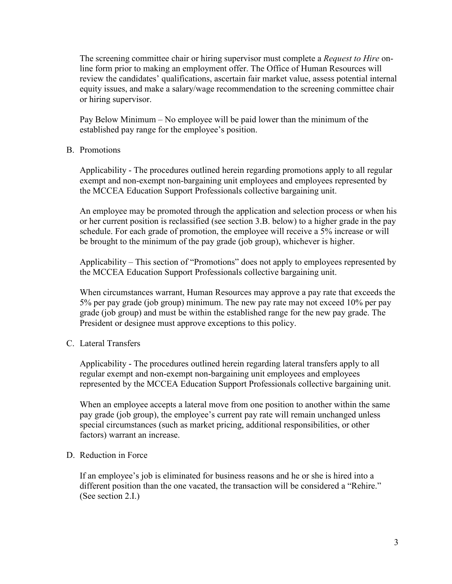The screening committee chair or hiring supervisor must complete a *Request to Hire* online form prior to making an employment offer. The Office of Human Resources will review the candidates' qualifications, ascertain fair market value, assess potential internal equity issues, and make a salary/wage recommendation to the screening committee chair or hiring supervisor.

Pay Below Minimum – No employee will be paid lower than the minimum of the established pay range for the employee's position.

#### B. Promotions

Applicability - The procedures outlined herein regarding promotions apply to all regular exempt and non-exempt non-bargaining unit employees and employees represented by the MCCEA Education Support Professionals collective bargaining unit.

An employee may be promoted through the application and selection process or when his or her current position is reclassified (see section 3.B. below) to a higher grade in the pay schedule. For each grade of promotion, the employee will receive a 5% increase or will be brought to the minimum of the pay grade (job group), whichever is higher.

Applicability – This section of "Promotions" does not apply to employees represented by the MCCEA Education Support Professionals collective bargaining unit.

When circumstances warrant, Human Resources may approve a pay rate that exceeds the 5% per pay grade (job group) minimum. The new pay rate may not exceed 10% per pay grade (job group) and must be within the established range for the new pay grade. The President or designee must approve exceptions to this policy.

C. Lateral Transfers

Applicability - The procedures outlined herein regarding lateral transfers apply to all regular exempt and non-exempt non-bargaining unit employees and employees represented by the MCCEA Education Support Professionals collective bargaining unit.

When an employee accepts a lateral move from one position to another within the same pay grade (job group), the employee's current pay rate will remain unchanged unless special circumstances (such as market pricing, additional responsibilities, or other factors) warrant an increase.

### D. Reduction in Force

If an employee's job is eliminated for business reasons and he or she is hired into a different position than the one vacated, the transaction will be considered a "Rehire." (See section 2.I.)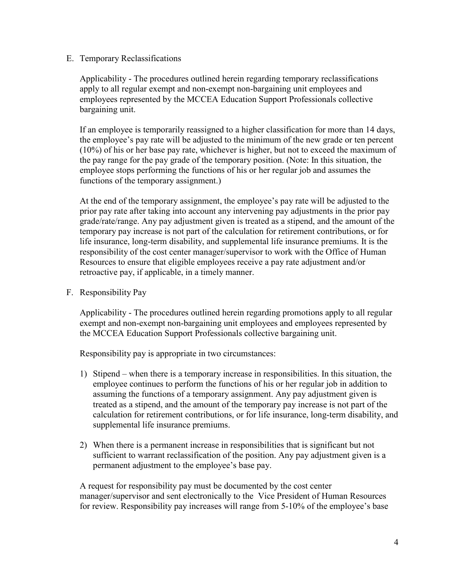## E. Temporary Reclassifications

Applicability - The procedures outlined herein regarding temporary reclassifications apply to all regular exempt and non-exempt non-bargaining unit employees and employees represented by the MCCEA Education Support Professionals collective bargaining unit.

If an employee is temporarily reassigned to a higher classification for more than 14 days, the employee's pay rate will be adjusted to the minimum of the new grade or ten percent (10%) of his or her base pay rate, whichever is higher, but not to exceed the maximum of the pay range for the pay grade of the temporary position. (Note: In this situation, the employee stops performing the functions of his or her regular job and assumes the functions of the temporary assignment.)

At the end of the temporary assignment, the employee's pay rate will be adjusted to the prior pay rate after taking into account any intervening pay adjustments in the prior pay grade/rate/range. Any pay adjustment given is treated as a stipend, and the amount of the temporary pay increase is not part of the calculation for retirement contributions, or for life insurance, long-term disability, and supplemental life insurance premiums. It is the responsibility of the cost center manager/supervisor to work with the Office of Human Resources to ensure that eligible employees receive a pay rate adjustment and/or retroactive pay, if applicable, in a timely manner.

F. Responsibility Pay

Applicability - The procedures outlined herein regarding promotions apply to all regular exempt and non-exempt non-bargaining unit employees and employees represented by the MCCEA Education Support Professionals collective bargaining unit.

Responsibility pay is appropriate in two circumstances:

- 1) Stipend when there is a temporary increase in responsibilities. In this situation, the employee continues to perform the functions of his or her regular job in addition to assuming the functions of a temporary assignment. Any pay adjustment given is treated as a stipend, and the amount of the temporary pay increase is not part of the calculation for retirement contributions, or for life insurance, long-term disability, and supplemental life insurance premiums.
- 2) When there is a permanent increase in responsibilities that is significant but not sufficient to warrant reclassification of the position. Any pay adjustment given is a permanent adjustment to the employee's base pay.

A request for responsibility pay must be documented by the cost center manager/supervisor and sent electronically to the Vice President of Human Resources for review. Responsibility pay increases will range from 5-10% of the employee's base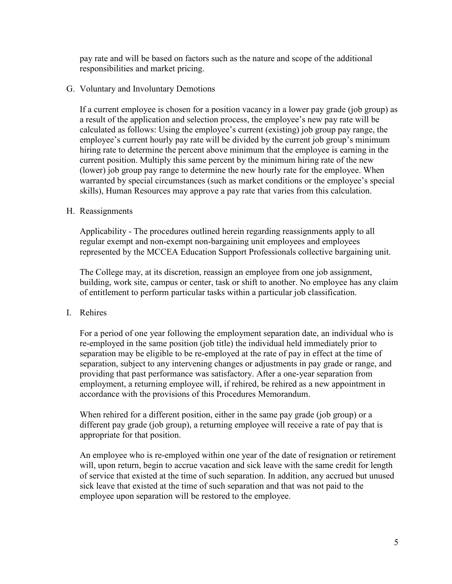pay rate and will be based on factors such as the nature and scope of the additional responsibilities and market pricing.

### G. Voluntary and Involuntary Demotions

If a current employee is chosen for a position vacancy in a lower pay grade (job group) as a result of the application and selection process, the employee's new pay rate will be calculated as follows: Using the employee's current (existing) job group pay range, the employee's current hourly pay rate will be divided by the current job group's minimum hiring rate to determine the percent above minimum that the employee is earning in the current position. Multiply this same percent by the minimum hiring rate of the new (lower) job group pay range to determine the new hourly rate for the employee. When warranted by special circumstances (such as market conditions or the employee's special skills), Human Resources may approve a pay rate that varies from this calculation.

## H. Reassignments

Applicability - The procedures outlined herein regarding reassignments apply to all regular exempt and non-exempt non-bargaining unit employees and employees represented by the MCCEA Education Support Professionals collective bargaining unit.

The College may, at its discretion, reassign an employee from one job assignment, building, work site, campus or center, task or shift to another. No employee has any claim of entitlement to perform particular tasks within a particular job classification.

# I. Rehires

For a period of one year following the employment separation date, an individual who is re-employed in the same position (job title) the individual held immediately prior to separation may be eligible to be re-employed at the rate of pay in effect at the time of separation, subject to any intervening changes or adjustments in pay grade or range, and providing that past performance was satisfactory. After a one-year separation from employment, a returning employee will, if rehired, be rehired as a new appointment in accordance with the provisions of this Procedures Memorandum.

When rehired for a different position, either in the same pay grade (job group) or a different pay grade (job group), a returning employee will receive a rate of pay that is appropriate for that position.

An employee who is re-employed within one year of the date of resignation or retirement will, upon return, begin to accrue vacation and sick leave with the same credit for length of service that existed at the time of such separation. In addition, any accrued but unused sick leave that existed at the time of such separation and that was not paid to the employee upon separation will be restored to the employee.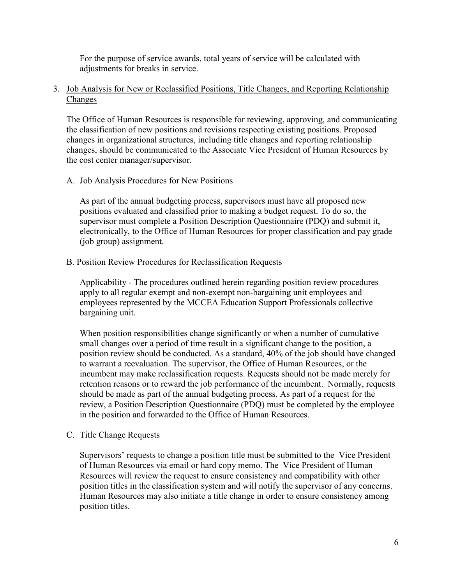For the purpose of service awards, total years of service will be calculated with adjustments for breaks in service.

## 3. Job Analysis for New or Reclassified Positions, Title Changes, and Reporting Relationship Changes

The Office of Human Resources is responsible for reviewing, approving, and communicating the classification of new positions and revisions respecting existing positions. Proposed changes in organizational structures, including title changes and reporting relationship changes, should be communicated to the Associate Vice President of Human Resources by the cost center manager/supervisor.

## A. Job Analysis Procedures for New Positions

As part of the annual budgeting process, supervisors must have all proposed new positions evaluated and classified prior to making a budget request. To do so, the supervisor must complete a Position Description Questionnaire (PDQ) and submit it, electronically, to the Office of Human Resources for proper classification and pay grade (job group) assignment.

B. Position Review Procedures for Reclassification Requests

Applicability - The procedures outlined herein regarding position review procedures apply to all regular exempt and non-exempt non-bargaining unit employees and employees represented by the MCCEA Education Support Professionals collective bargaining unit.

When position responsibilities change significantly or when a number of cumulative small changes over a period of time result in a significant change to the position, a position review should be conducted. As a standard, 40% of the job should have changed to warrant a reevaluation. The supervisor, the Office of Human Resources, or the incumbent may make reclassification requests. Requests should not be made merely for retention reasons or to reward the job performance of the incumbent. Normally, requests should be made as part of the annual budgeting process. As part of a request for the review, a Position Description Questionnaire (PDQ) must be completed by the employee in the position and forwarded to the Office of Human Resources.

C. Title Change Requests

Supervisors' requests to change a position title must be submitted to the Vice President of Human Resources via email or hard copy memo. The Vice President of Human Resources will review the request to ensure consistency and compatibility with other position titles in the classification system and will notify the supervisor of any concerns. Human Resources may also initiate a title change in order to ensure consistency among position titles.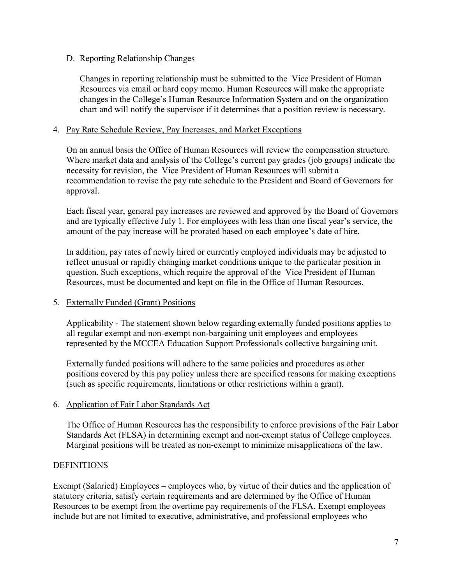## D. Reporting Relationship Changes

Changes in reporting relationship must be submitted to the Vice President of Human Resources via email or hard copy memo. Human Resources will make the appropriate changes in the College's Human Resource Information System and on the organization chart and will notify the supervisor if it determines that a position review is necessary.

### 4. Pay Rate Schedule Review, Pay Increases, and Market Exceptions

On an annual basis the Office of Human Resources will review the compensation structure. Where market data and analysis of the College's current pay grades (job groups) indicate the necessity for revision, the Vice President of Human Resources will submit a recommendation to revise the pay rate schedule to the President and Board of Governors for approval.

Each fiscal year, general pay increases are reviewed and approved by the Board of Governors and are typically effective July 1. For employees with less than one fiscal year's service, the amount of the pay increase will be prorated based on each employee's date of hire.

In addition, pay rates of newly hired or currently employed individuals may be adjusted to reflect unusual or rapidly changing market conditions unique to the particular position in question. Such exceptions, which require the approval of the Vice President of Human Resources, must be documented and kept on file in the Office of Human Resources.

# 5. Externally Funded (Grant) Positions

Applicability - The statement shown below regarding externally funded positions applies to all regular exempt and non-exempt non-bargaining unit employees and employees represented by the MCCEA Education Support Professionals collective bargaining unit.

Externally funded positions will adhere to the same policies and procedures as other positions covered by this pay policy unless there are specified reasons for making exceptions (such as specific requirements, limitations or other restrictions within a grant).

# 6. Application of Fair Labor Standards Act

The Office of Human Resources has the responsibility to enforce provisions of the Fair Labor Standards Act (FLSA) in determining exempt and non-exempt status of College employees. Marginal positions will be treated as non-exempt to minimize misapplications of the law.

#### **DEFINITIONS**

Exempt (Salaried) Employees – employees who, by virtue of their duties and the application of statutory criteria, satisfy certain requirements and are determined by the Office of Human Resources to be exempt from the overtime pay requirements of the FLSA. Exempt employees include but are not limited to executive, administrative, and professional employees who